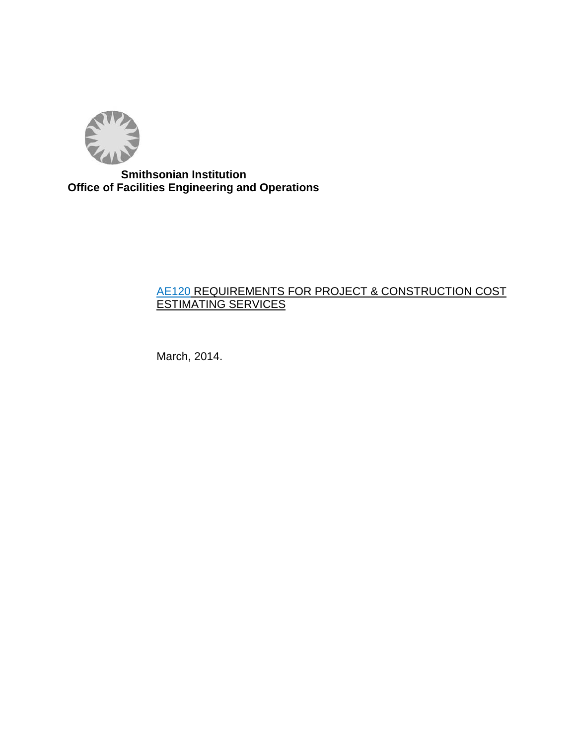

 **Smithsonian Institution Office of Facilities Engineering and Operations** 

# AE120 REQUIREMENTS FOR PROJECT & CONSTRUCTION COST ESTIMATING SERVICES

March, 2014.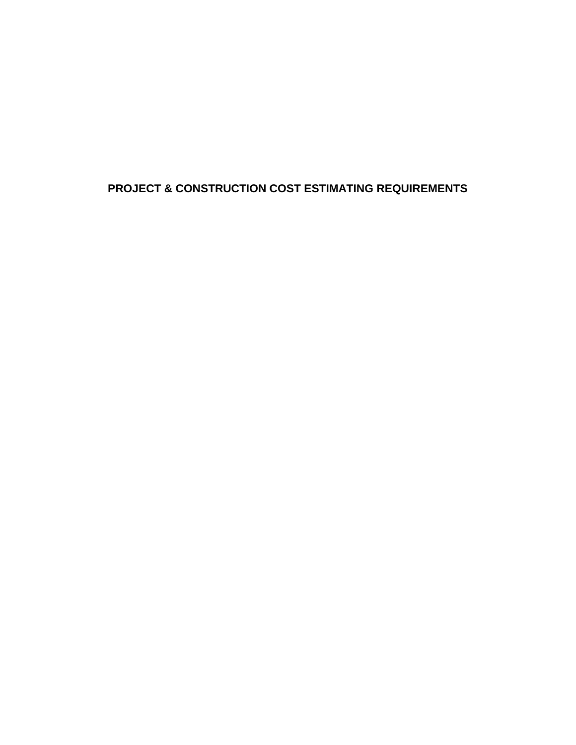# **PROJECT & CONSTRUCTION COST ESTIMATING REQUIREMENTS**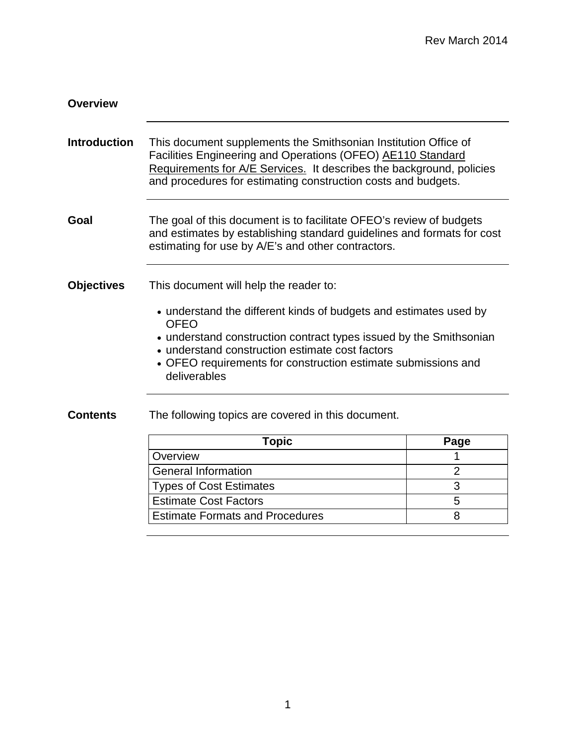| <b>Overview</b>     |                                                                                                                                                                                                                                                                                                                                      |                |  |
|---------------------|--------------------------------------------------------------------------------------------------------------------------------------------------------------------------------------------------------------------------------------------------------------------------------------------------------------------------------------|----------------|--|
| <b>Introduction</b> | This document supplements the Smithsonian Institution Office of<br>Facilities Engineering and Operations (OFEO) AE110 Standard<br>Requirements for A/E Services. It describes the background, policies<br>and procedures for estimating construction costs and budgets.                                                              |                |  |
| Goal                | The goal of this document is to facilitate OFEO's review of budgets<br>and estimates by establishing standard guidelines and formats for cost<br>estimating for use by A/E's and other contractors.                                                                                                                                  |                |  |
| <b>Objectives</b>   | This document will help the reader to:<br>• understand the different kinds of budgets and estimates used by<br><b>OFEO</b><br>• understand construction contract types issued by the Smithsonian<br>• understand construction estimate cost factors<br>• OFEO requirements for construction estimate submissions and<br>deliverables |                |  |
| <b>Contents</b>     | The following topics are covered in this document.                                                                                                                                                                                                                                                                                   |                |  |
|                     | <b>Topic</b>                                                                                                                                                                                                                                                                                                                         | Page           |  |
|                     | Overview                                                                                                                                                                                                                                                                                                                             | 1              |  |
|                     | <b>General Information</b>                                                                                                                                                                                                                                                                                                           | $\overline{2}$ |  |
|                     | <b>Types of Cost Estimates</b>                                                                                                                                                                                                                                                                                                       | 3              |  |
|                     | <b>Estimate Cost Factors</b>                                                                                                                                                                                                                                                                                                         | 5              |  |
|                     | <b>Estimate Formats and Procedures</b>                                                                                                                                                                                                                                                                                               | 8              |  |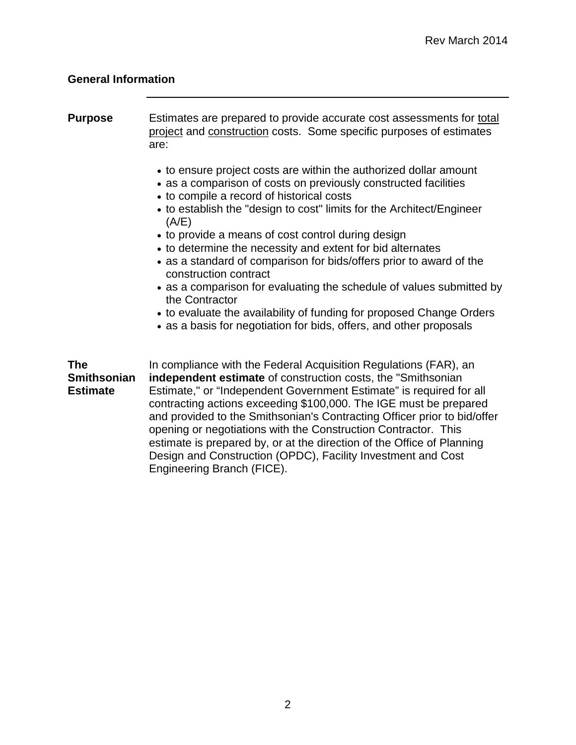# <span id="page-3-0"></span>**General Information**

| <b>Purpose</b>                                      | Estimates are prepared to provide accurate cost assessments for total<br>project and construction costs. Some specific purposes of estimates<br>are:                                                                                                                                                                                                                                                                                                                                                                                                                                                                                                                                                                            |
|-----------------------------------------------------|---------------------------------------------------------------------------------------------------------------------------------------------------------------------------------------------------------------------------------------------------------------------------------------------------------------------------------------------------------------------------------------------------------------------------------------------------------------------------------------------------------------------------------------------------------------------------------------------------------------------------------------------------------------------------------------------------------------------------------|
|                                                     | • to ensure project costs are within the authorized dollar amount<br>• as a comparison of costs on previously constructed facilities<br>• to compile a record of historical costs<br>• to establish the "design to cost" limits for the Architect/Engineer<br>(A/E)<br>• to provide a means of cost control during design<br>• to determine the necessity and extent for bid alternates<br>• as a standard of comparison for bids/offers prior to award of the<br>construction contract<br>• as a comparison for evaluating the schedule of values submitted by<br>the Contractor<br>• to evaluate the availability of funding for proposed Change Orders<br>• as a basis for negotiation for bids, offers, and other proposals |
| <b>The</b><br><b>Smithsonian</b><br><b>Estimate</b> | In compliance with the Federal Acquisition Regulations (FAR), an<br>independent estimate of construction costs, the "Smithsonian<br>Estimate," or "Independent Government Estimate" is required for all<br>contracting actions exceeding \$100,000. The IGE must be prepared<br>and provided to the Smithsonian's Contracting Officer prior to bid/offer<br>opening or negotiations with the Construction Contractor. This<br>estimate is prepared by, or at the direction of the Office of Planning<br>Design and Construction (OPDC), Facility Investment and Cost<br>Engineering Branch (FICE).                                                                                                                              |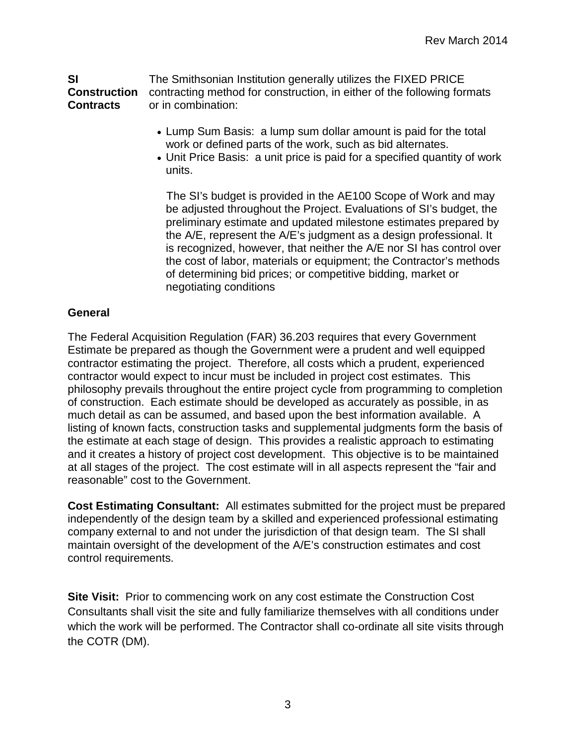<span id="page-4-0"></span>**SI Construction Contracts** The Smithsonian Institution generally utilizes the FIXED PRICE contracting method for construction, in either of the following formats or in combination:

- Lump Sum Basis: a lump sum dollar amount is paid for the total work or defined parts of the work, such as bid alternates.
- Unit Price Basis: a unit price is paid for a specified quantity of work units.

The SI's budget is provided in the AE100 Scope of Work and may be adjusted throughout the Project. Evaluations of SI's budget, the preliminary estimate and updated milestone estimates prepared by the A/E, represent the A/E's judgment as a design professional. It is recognized, however, that neither the A/E nor SI has control over the cost of labor, materials or equipment; the Contractor's methods of determining bid prices; or competitive bidding, market or negotiating conditions

### **General**

The Federal Acquisition Regulation (FAR) 36.203 requires that every Government Estimate be prepared as though the Government were a prudent and well equipped contractor estimating the project. Therefore, all costs which a prudent, experienced contractor would expect to incur must be included in project cost estimates. This philosophy prevails throughout the entire project cycle from programming to completion of construction. Each estimate should be developed as accurately as possible, in as much detail as can be assumed, and based upon the best information available. A listing of known facts, construction tasks and supplemental judgments form the basis of the estimate at each stage of design. This provides a realistic approach to estimating and it creates a history of project cost development. This objective is to be maintained at all stages of the project. The cost estimate will in all aspects represent the "fair and reasonable" cost to the Government.

**Cost Estimating Consultant:** All estimates submitted for the project must be prepared independently of the design team by a skilled and experienced professional estimating company external to and not under the jurisdiction of that design team. The SI shall maintain oversight of the development of the A/E's construction estimates and cost control requirements.

**Site Visit:** Prior to commencing work on any cost estimate the Construction Cost Consultants shall visit the site and fully familiarize themselves with all conditions under which the work will be performed. The Contractor shall co-ordinate all site visits through the COTR (DM).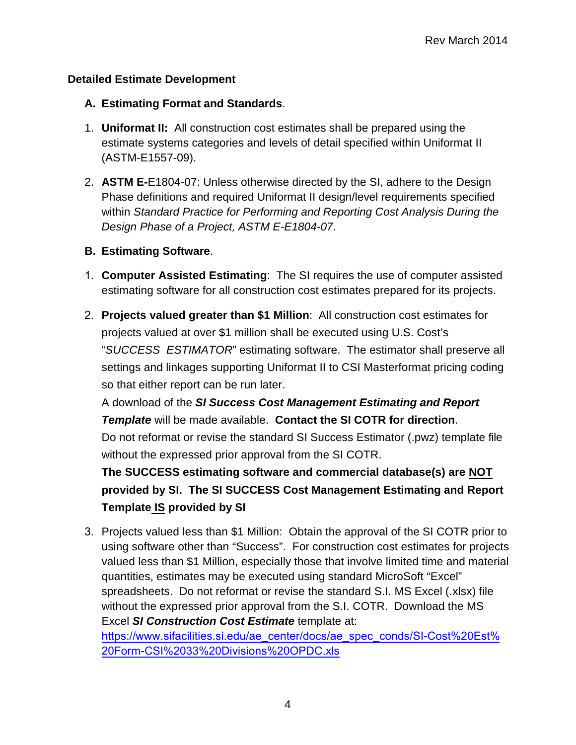# **Detailed Estimate Development**

# **A. Estimating Format and Standards**.

- 1. **Uniformat II:** All construction cost estimates shall be prepared using the estimate systems categories and levels of detail specified within Uniformat II (ASTM-E1557-09).
- 2. **ASTM E-**E1804-07: Unless otherwise directed by the SI, adhere to the Design Phase definitions and required Uniformat II design/level requirements specified within *Standard Practice for Performing and Reporting Cost Analysis During the Design Phase of a Project, ASTM E-E1804-07*.

# **B. Estimating Software**.

- 1. **Computer Assisted Estimating**: The SI requires the use of computer assisted estimating software for all construction cost estimates prepared for its projects.
- 2. **Projects valued greater than \$1 Million**: All construction cost estimates for projects valued at over \$1 million shall be executed using U.S. Cost's "*SUCCESS ESTIMATOR*" estimating software. The estimator shall preserve all settings and linkages supporting Uniformat II to CSI Masterformat pricing coding so that either report can be run later.

A download of the *SI Success Cost Management Estimating and Report Template* will be made available. **Contact the SI COTR for direction**. Do not reformat or revise the standard SI Success Estimator (.pwz) template file without the expressed prior approval from the SI COTR.

**The SUCCESS estimating software and commercial database(s) are NOT provided by SI. The SI SUCCESS Cost Management Estimating and Report Template IS provided by SI**

3. Projects valued less than \$1 Million: Obtain the approval of the SI COTR prior to using software other than "Success". For construction cost estimates for projects valued less than \$1 Million, especially those that involve limited time and material quantities, estimates may be executed using standard MicroSoft "Excel" spreadsheets. Do not reformat or revise the standard S.I. MS Excel (.xlsx) file without the expressed prior approval from the S.I. COTR. Download the MS Excel *[SI Construction Cost Estimate](https://www.sifacilities.si.edu/ae_center/docs/ae_spec_conds/SI-Cost%20Est%20Form-CSI%2033%20Divisions%20OPDC.xls)* template at: [https://www.sifacilities.si.edu/ae\\_center/docs/ae\\_spec\\_conds/SI-Cost%20Est%](https://www.sifacilities.si.edu/ae_center/docs/ae_spec_conds/SI-Cost%20Est%20Form-CSI%2033%20Divisions%20OPDC.xls)

20Form-CSI%2033%20Divisions%20OPDC.xls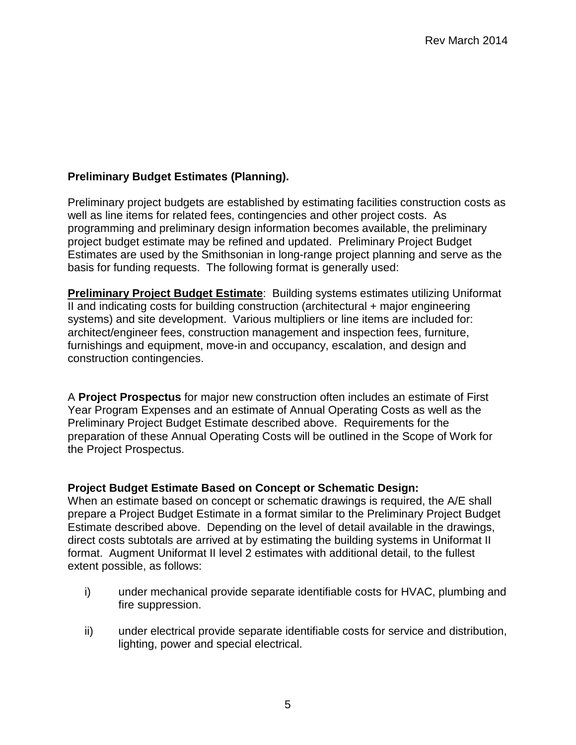# <span id="page-6-0"></span>**Preliminary Budget Estimates (Planning).**

Preliminary project budgets are established by estimating facilities construction costs as well as line items for related fees, contingencies and other project costs. As programming and preliminary design information becomes available, the preliminary project budget estimate may be refined and updated. Preliminary Project Budget Estimates are used by the Smithsonian in long-range project planning and serve as the basis for funding requests. The following format is generally used:

**Preliminary Project Budget Estimate**: Building systems estimates utilizing Uniformat II and indicating costs for building construction (architectural + major engineering systems) and site development. Various multipliers or line items are included for: architect/engineer fees, construction management and inspection fees, furniture, furnishings and equipment, move-in and occupancy, escalation, and design and construction contingencies.

A **Project Prospectus** for major new construction often includes an estimate of First Year Program Expenses and an estimate of Annual Operating Costs as well as the Preliminary Project Budget Estimate described above. Requirements for the preparation of these Annual Operating Costs will be outlined in the Scope of Work for the Project Prospectus.

### **Project Budget Estimate Based on Concept or Schematic Design:**

When an estimate based on concept or schematic drawings is required, the A/E shall prepare a Project Budget Estimate in a format similar to the Preliminary Project Budget Estimate described above. Depending on the level of detail available in the drawings, direct costs subtotals are arrived at by estimating the building systems in Uniformat II format. Augment Uniformat II level 2 estimates with additional detail, to the fullest extent possible, as follows:

- i) under mechanical provide separate identifiable costs for HVAC, plumbing and fire suppression.
- ii) under electrical provide separate identifiable costs for service and distribution, lighting, power and special electrical.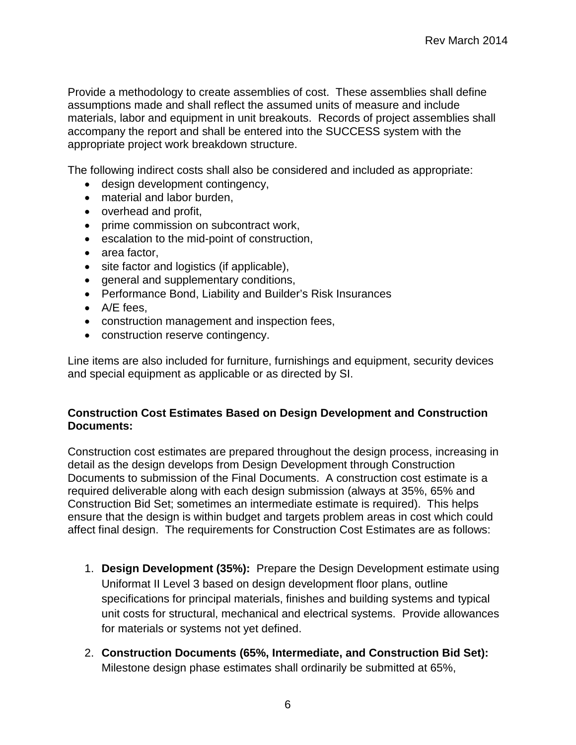Provide a methodology to create assemblies of cost. These assemblies shall define assumptions made and shall reflect the assumed units of measure and include materials, labor and equipment in unit breakouts. Records of project assemblies shall accompany the report and shall be entered into the SUCCESS system with the appropriate project work breakdown structure.

The following indirect costs shall also be considered and included as appropriate:

- design development contingency,
- material and labor burden,
- overhead and profit,
- prime commission on subcontract work,
- escalation to the mid-point of construction,
- area factor,
- site factor and logistics (if applicable),
- general and supplementary conditions,
- Performance Bond, Liability and Builder's Risk Insurances
- A/E fees,
- construction management and inspection fees,
- construction reserve contingency.

Line items are also included for furniture, furnishings and equipment, security devices and special equipment as applicable or as directed by SI.

### **Construction Cost Estimates Based on Design Development and Construction Documents:**

Construction cost estimates are prepared throughout the design process, increasing in detail as the design develops from Design Development through Construction Documents to submission of the Final Documents. A construction cost estimate is a required deliverable along with each design submission (always at 35%, 65% and Construction Bid Set; sometimes an intermediate estimate is required). This helps ensure that the design is within budget and targets problem areas in cost which could affect final design. The requirements for Construction Cost Estimates are as follows:

- 1. **Design Development (35%):** Prepare the Design Development estimate using Uniformat II Level 3 based on design development floor plans, outline specifications for principal materials, finishes and building systems and typical unit costs for structural, mechanical and electrical systems. Provide allowances for materials or systems not yet defined.
- 2. **Construction Documents (65%, Intermediate, and Construction Bid Set):** Milestone design phase estimates shall ordinarily be submitted at 65%,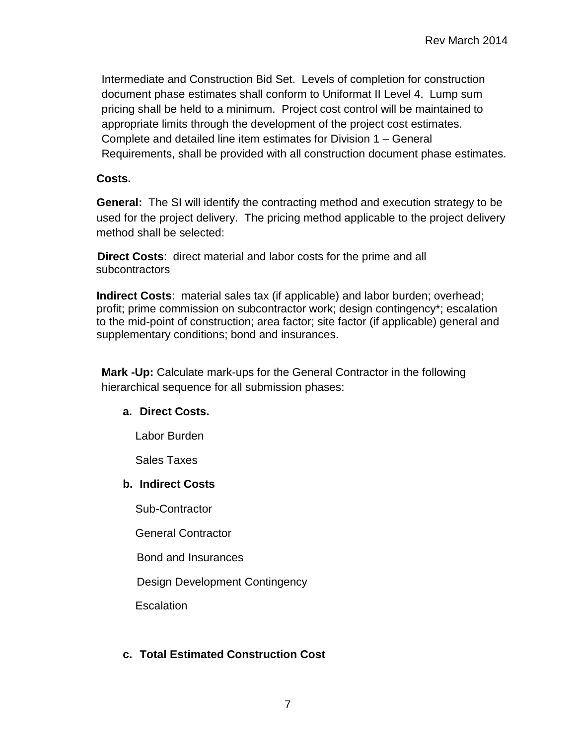Intermediate and Construction Bid Set. Levels of completion for construction document phase estimates shall conform to Uniformat II Level 4. Lump sum pricing shall be held to a minimum. Project cost control will be maintained to appropriate limits through the development of the project cost estimates. Complete and detailed line item estimates for Division 1 – General Requirements, shall be provided with all construction document phase estimates.

## **Costs.**

**General:** The SI will identify the contracting method and execution strategy to be used for the project delivery. The pricing method applicable to the project delivery method shall be selected:

**Direct Costs**: direct material and labor costs for the prime and all subcontractors

**Indirect Costs**: material sales tax (if applicable) and labor burden; overhead; profit; prime commission on subcontractor work; design contingency\*; escalation to the mid-point of construction; area factor; site factor (if applicable) general and supplementary conditions; bond and insurances.

**Mark -Up:** Calculate mark-ups for the General Contractor in the following hierarchical sequence for all submission phases:

# **a. Direct Costs.**

Labor Burden

Sales Taxes

### **b. Indirect Costs**

Sub-Contractor

General Contractor

Bond and Insurances

Design Development Contingency

Escalation

# **c. Total Estimated Construction Cost**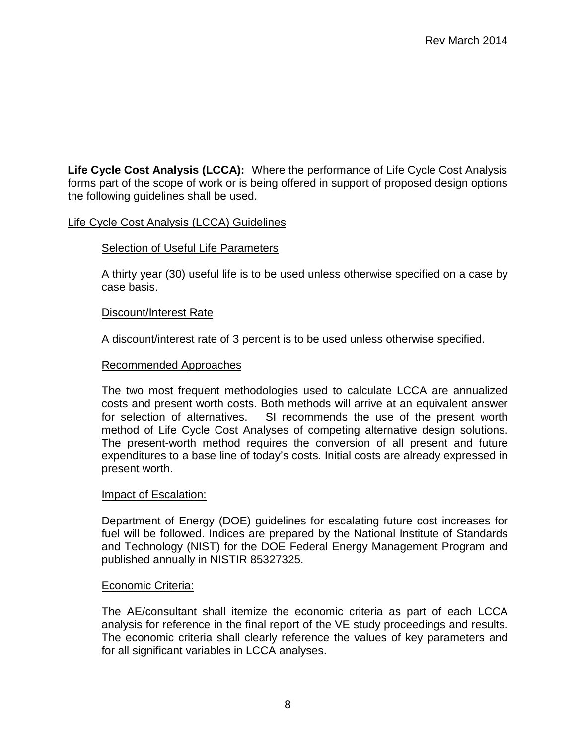<span id="page-9-0"></span>**Life Cycle Cost Analysis (LCCA):** Where the performance of Life Cycle Cost Analysis forms part of the scope of work or is being offered in support of proposed design options the following guidelines shall be used.

#### Life Cycle Cost Analysis (LCCA) Guidelines

#### Selection of Useful Life Parameters

A thirty year (30) useful life is to be used unless otherwise specified on a case by case basis.

#### Discount/Interest Rate

A discount/interest rate of 3 percent is to be used unless otherwise specified.

#### Recommended Approaches

The two most frequent methodologies used to calculate LCCA are annualized costs and present worth costs. Both methods will arrive at an equivalent answer for selection of alternatives. SI recommends the use of the present worth method of Life Cycle Cost Analyses of competing alternative design solutions. The present-worth method requires the conversion of all present and future expenditures to a base line of today's costs. Initial costs are already expressed in present worth.

#### Impact of Escalation:

Department of Energy (DOE) guidelines for escalating future cost increases for fuel will be followed. Indices are prepared by the National Institute of Standards and Technology (NIST) for the DOE Federal Energy Management Program and published annually in NISTIR 85327325.

#### Economic Criteria:

The AE/consultant shall itemize the economic criteria as part of each LCCA analysis for reference in the final report of the VE study proceedings and results. The economic criteria shall clearly reference the values of key parameters and for all significant variables in LCCA analyses.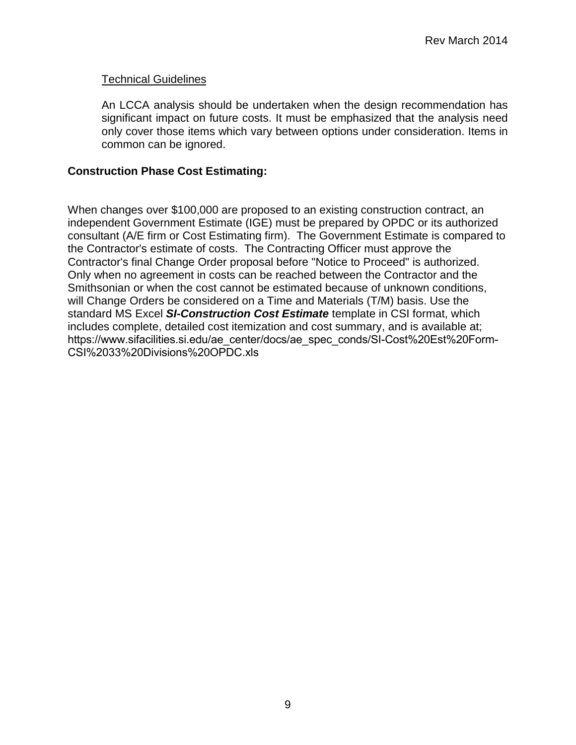### Technical Guidelines

An LCCA analysis should be undertaken when the design recommendation has significant impact on future costs. It must be emphasized that the analysis need only cover those items which vary between options under consideration. Items in common can be ignored.

### **Construction Phase Cost Estimating:**

When changes over \$100,000 are proposed to an existing construction contract, an independent Government Estimate (IGE) must be prepared by OPDC or its authorized consultant (A/E firm or Cost Estimating firm). The Government Estimate is compared to the Contractor's estimate of costs. The Contracting Officer must approve the Contractor's final Change Order proposal before "Notice to Proceed" is authorized. Only when no agreement in costs can be reached between the Contractor and the Smithsonian or when the cost cannot be estimated because of unknown conditions, will Change Orders be considered on a Time and Materials (T/M) basis. Use the standard MS Excel *[SI-Construction](https://www.sifacilities.si.edu/ae_center/docs/ae_spec_conds/SI-Cost%20Est%20Form-CSI%2033%20Divisions%20OPDC.xls) Cost Estimate* template in CSI format, which includes complete, detailed cost itemization and cost summary, and is available at; [https://www.sifacilities.si.edu/ae\\_center/docs/ae\\_spec\\_conds/SI-Cost%20Est%20Form-](https://www.sifacilities.si.edu/ae_center/docs/ae_spec_conds/SI-Cost%20Est%20Form-CSI%2033%20Divisions%20OPDC.xls)CSI%2033%20Divisions%20OPDC.xls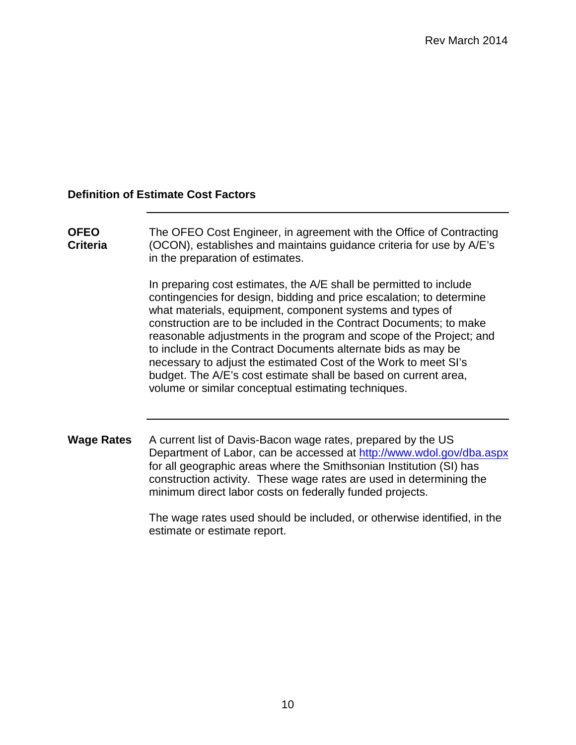### **Definition of Estimate Cost Factors**

**OFEO Criteria** The OFEO Cost Engineer, in agreement with the Office of Contracting (OCON), establishes and maintains guidance criteria for use by A/E's in the preparation of estimates.

> In preparing cost estimates, the A/E shall be permitted to include contingencies for design, bidding and price escalation; to determine what materials, equipment, component systems and types of construction are to be included in the Contract Documents; to make reasonable adjustments in the program and scope of the Project; and to include in the Contract Documents alternate bids as may be necessary to adjust the estimated Cost of the Work to meet SI's budget. The A/E's cost estimate shall be based on current area, volume or similar conceptual estimating techniques.

**Wage Rates** A current list of Davis-Bacon wage rates, prepared by the US Department of Labor, can be accessed at<http://www.wdol.gov/dba.aspx> for all geographic areas where the Smithsonian Institution (SI) has construction activity. These wage rates are used in determining the minimum direct labor costs on federally funded projects.

> The wage rates used should be included, or otherwise identified, in the estimate or estimate report.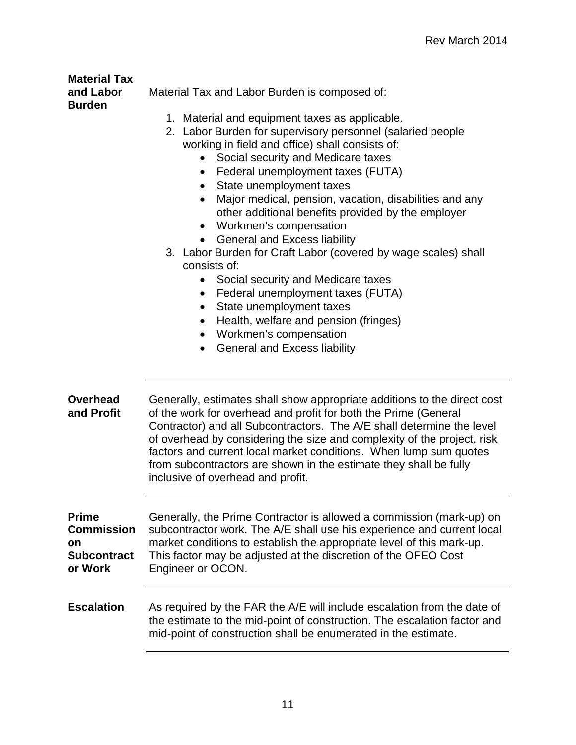#### **Material Tax and Labor Burden**

Material Tax and Labor Burden is composed of:

- 
- 1. Material and equipment taxes as applicable.
- 2. Labor Burden for supervisory personnel (salaried people working in field and office) shall consists of:
	- Social security and Medicare taxes
	- Federal unemployment taxes (FUTA)
	- State unemployment taxes
	- Major medical, pension, vacation, disabilities and any other additional benefits provided by the employer
	- Workmen's compensation
	- General and Excess liability
- 3. Labor Burden for Craft Labor (covered by wage scales) shall consists of:
	- Social security and Medicare taxes
	- Federal unemployment taxes (FUTA)
	- State unemployment taxes
	- Health, welfare and pension (fringes)
	- Workmen's compensation
	- General and Excess liability

| Generally, estimates shall show appropriate additions to the direct cost<br>of the work for overhead and profit for both the Prime (General<br>Contractor) and all Subcontractors. The A/E shall determine the level<br>of overhead by considering the size and complexity of the project, risk<br>factors and current local market conditions. When lump sum quotes<br>from subcontractors are shown in the estimate they shall be fully<br>inclusive of overhead and profit. |  |
|--------------------------------------------------------------------------------------------------------------------------------------------------------------------------------------------------------------------------------------------------------------------------------------------------------------------------------------------------------------------------------------------------------------------------------------------------------------------------------|--|
| Generally, the Prime Contractor is allowed a commission (mark-up) on<br>subcontractor work. The A/E shall use his experience and current local<br>market conditions to establish the appropriate level of this mark-up.<br>This factor may be adjusted at the discretion of the OFEO Cost<br>Engineer or OCON.                                                                                                                                                                 |  |
| As required by the FAR the A/E will include escalation from the date of<br>the estimate to the mid-point of construction. The escalation factor and<br>mid-point of construction shall be enumerated in the estimate.                                                                                                                                                                                                                                                          |  |
|                                                                                                                                                                                                                                                                                                                                                                                                                                                                                |  |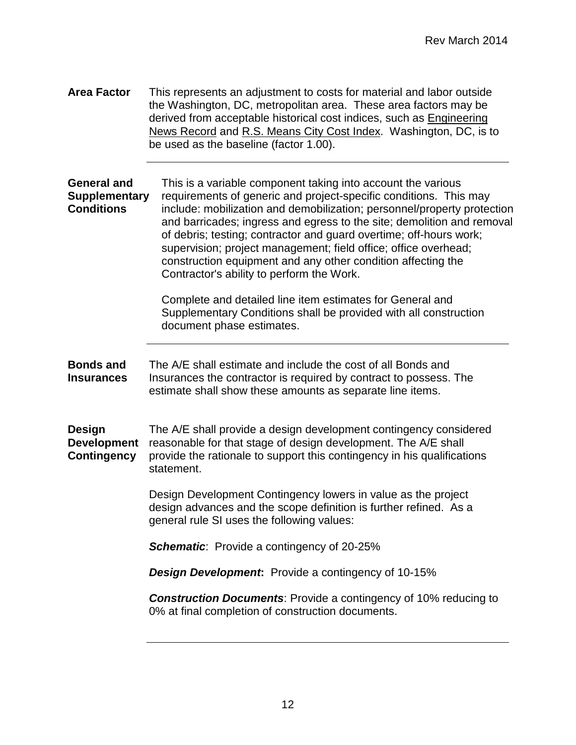**Area Factor** This represents an adjustment to costs for material and labor outside the Washington, DC, metropolitan area. These area factors may be derived from acceptable historical cost indices, such as Engineering News Record and R.S. Means City Cost Index. Washington, DC, is to be used as the baseline (factor 1.00).

**General and Supplementary Conditions** This is a variable component taking into account the various requirements of generic and project-specific conditions. This may include: mobilization and demobilization; personnel/property protection and barricades; ingress and egress to the site; demolition and removal of debris; testing; contractor and guard overtime; off-hours work; supervision; project management; field office; office overhead; construction equipment and any other condition affecting the Contractor's ability to perform the Work.

> Complete and detailed line item estimates for General and Supplementary Conditions shall be provided with all construction document phase estimates.

**Bonds and Insurances** The A/E shall estimate and include the cost of all Bonds and Insurances the contractor is required by contract to possess. The estimate shall show these amounts as separate line items.

**Design Development Contingency** The A/E shall provide a design development contingency considered reasonable for that stage of design development. The A/E shall provide the rationale to support this contingency in his qualifications statement.

> Design Development Contingency lowers in value as the project design advances and the scope definition is further refined. As a general rule SI uses the following values:

*Schematic*: Provide a contingency of 20-25%

*Design Development***:** Provide a contingency of 10-15%

*Construction Documents*: Provide a contingency of 10% reducing to 0% at final completion of construction documents.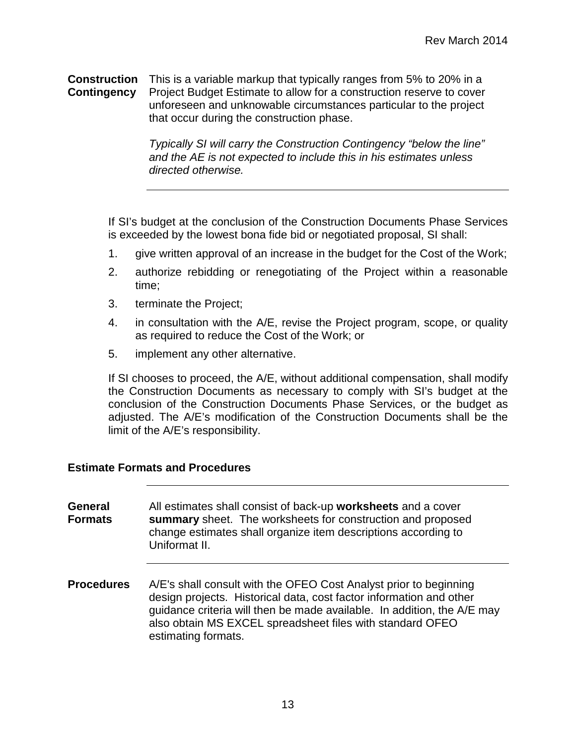**Construction**  This is a variable markup that typically ranges from 5% to 20% in a **Contingency** Project Budget Estimate to allow for a construction reserve to cover unforeseen and unknowable circumstances particular to the project that occur during the construction phase.

> *Typically SI will carry the Construction Contingency "below the line" and the AE is not expected to include this in his estimates unless directed otherwise.*

If SI's budget at the conclusion of the Construction Documents Phase Services is exceeded by the lowest bona fide bid or negotiated proposal, SI shall:

- 1. give written approval of an increase in the budget for the Cost of the Work;
- 2. authorize rebidding or renegotiating of the Project within a reasonable time;
- 3. terminate the Project;
- 4. in consultation with the A/E, revise the Project program, scope, or quality as required to reduce the Cost of the Work; or
- 5. implement any other alternative.

If SI chooses to proceed, the A/E, without additional compensation, shall modify the Construction Documents as necessary to comply with SI's budget at the conclusion of the Construction Documents Phase Services, or the budget as adjusted. The A/E's modification of the Construction Documents shall be the limit of the A/E's responsibility.

#### **Estimate Formats and Procedures**

**General Formats** All estimates shall consist of back-up **worksheets** and a cover **summary** sheet. The worksheets for construction and proposed change estimates shall organize item descriptions according to Uniformat II.

**Procedures** A/E's shall consult with the OFEO Cost Analyst prior to beginning design projects. Historical data, cost factor information and other guidance criteria will then be made available. In addition, the A/E may also obtain MS EXCEL spreadsheet files with standard OFEO estimating formats.